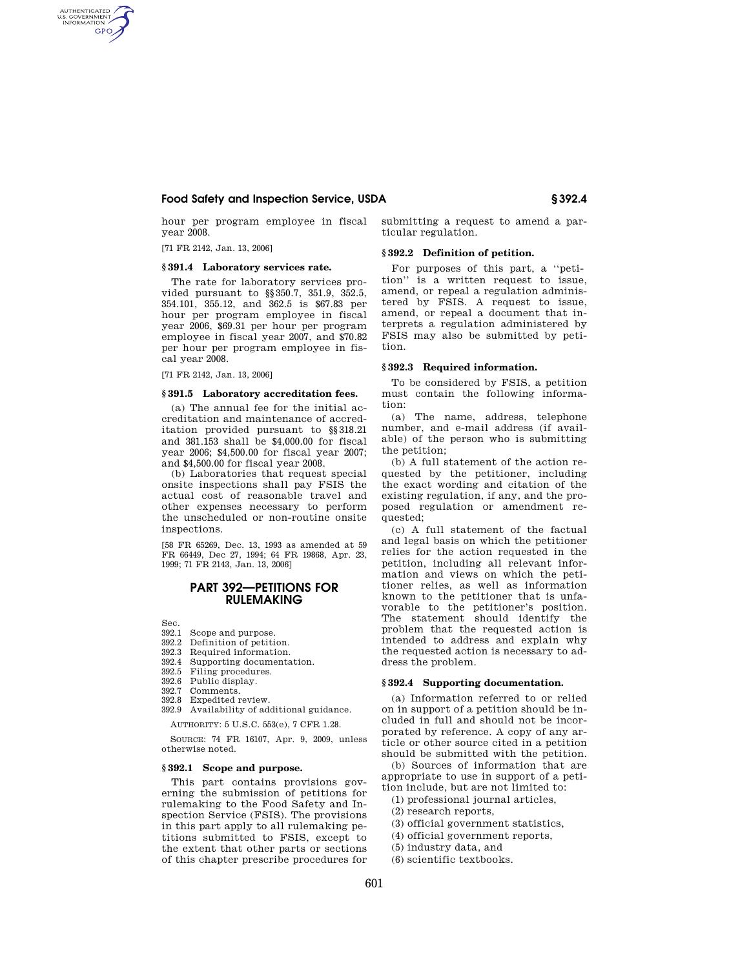# **Food Safety and Inspection Service, USDA § 392.4**

hour per program employee in fiscal year 2008.

[71 FR 2142, Jan. 13, 2006]

AUTHENTICATED<br>U.S. GOVERNMENT<br>INFORMATION **GPO** 

## **§ 391.4 Laboratory services rate.**

The rate for laboratory services provided pursuant to §§350.7, 351.9, 352.5, 354.101, 355.12, and 362.5 is \$67.83 per hour per program employee in fiscal year 2006, \$69.31 per hour per program employee in fiscal year 2007, and \$70.82 per hour per program employee in fiscal year 2008.

[71 FR 2142, Jan. 13, 2006]

#### **§ 391.5 Laboratory accreditation fees.**

(a) The annual fee for the initial accreditation and maintenance of accreditation provided pursuant to §§318.21 and 381.153 shall be \$4,000.00 for fiscal year 2006; \$4,500.00 for fiscal year 2007; and \$4,500.00 for fiscal year 2008.

(b) Laboratories that request special onsite inspections shall pay FSIS the actual cost of reasonable travel and other expenses necessary to perform the unscheduled or non-routine onsite inspections.

[58 FR 65269, Dec. 13, 1993 as amended at 59 FR 66449, Dec 27, 1994; 64 FR 19868, Apr. 23, 1999; 71 FR 2143, Jan. 13, 2006]

# **PART 392—PETITIONS FOR RULEMAKING**

- Sec.<br>392.1 Scope and purpose.
- 392.2 Definition of petition.
- 392.3 Required information.
- 392.4 Supporting documentation.<br>392.5 Filing procedures.
- Filing procedures.
- 392.6 Public display.<br>392.7 Comments
- 392.7 Comments.<br>392.8 Expedited r
- Expedited review.
- 392.9 Availability of additional guidance.

AUTHORITY: 5 U.S.C. 553(e), 7 CFR 1.28.

SOURCE: 74 FR 16107, Apr. 9, 2009, unless otherwise noted.

# **§ 392.1 Scope and purpose.**

This part contains provisions governing the submission of petitions for rulemaking to the Food Safety and Inspection Service (FSIS). The provisions in this part apply to all rulemaking petitions submitted to FSIS, except to the extent that other parts or sections of this chapter prescribe procedures for submitting a request to amend a particular regulation.

## **§ 392.2 Definition of petition.**

For purposes of this part, a ''petition'' is a written request to issue, amend, or repeal a regulation administered by FSIS. A request to issue, amend, or repeal a document that interprets a regulation administered by FSIS may also be submitted by petition.

### **§ 392.3 Required information.**

To be considered by FSIS, a petition must contain the following information:

(a) The name, address, telephone number, and e-mail address (if available) of the person who is submitting the petition;

(b) A full statement of the action requested by the petitioner, including the exact wording and citation of the existing regulation, if any, and the proposed regulation or amendment requested;

(c) A full statement of the factual and legal basis on which the petitioner relies for the action requested in the petition, including all relevant information and views on which the petitioner relies, as well as information known to the petitioner that is unfavorable to the petitioner's position. The statement should identify the problem that the requested action is intended to address and explain why the requested action is necessary to address the problem.

## **§ 392.4 Supporting documentation.**

(a) Information referred to or relied on in support of a petition should be included in full and should not be incorporated by reference. A copy of any article or other source cited in a petition should be submitted with the petition.

(b) Sources of information that are appropriate to use in support of a petition include, but are not limited to:

- (1) professional journal articles,
- (2) research reports,
- (3) official government statistics,
- (4) official government reports,
- (5) industry data, and
- (6) scientific textbooks.